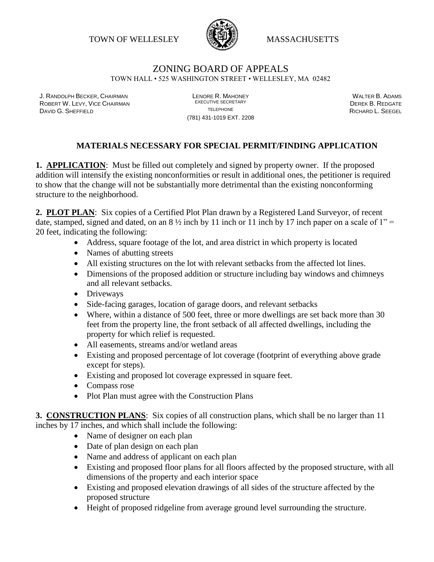TOWN OF WELLESLEY WASSACHUSETTS



## ZONING BOARD OF APPEALS TOWN HALL • 525 WASHINGTON STREET • WELLESLEY, MA 02482

J. RANDOLPH BECKER, CHAIRMAN LENORE R. MAHONEY LENORE R. MAHONEY LENORE R. ADAMS<br>Repeated that the chairman line of the experiment of the experiment of the contract of the chairman descriptio ROBERT W. LEVY, VICE CHAIRMAN EXECUTIVE SECRETARY DEREK B. REDGATE DAVID G. SHEFFIELD TELEPHONE RICHARD L. SEEGEL

(781) 431-1019 EXT. 2208

## **MATERIALS NECESSARY FOR SPECIAL PERMIT/FINDING APPLICATION**

**1. APPLICATION:** Must be filled out completely and signed by property owner. If the proposed addition will intensify the existing nonconformities or result in additional ones, the petitioner is required to show that the change will not be substantially more detrimental than the existing nonconforming structure to the neighborhood.

**2. PLOT PLAN**: Six copies of a Certified Plot Plan drawn by a Registered Land Surveyor, of recent date, stamped, signed and dated, on an  $8\frac{1}{2}$  inch by 11 inch or 11 inch by 17 inch paper on a scale of 1" = 20 feet, indicating the following:

- Address, square footage of the lot, and area district in which property is located
- Names of abutting streets
- All existing structures on the lot with relevant setbacks from the affected lot lines.
- Dimensions of the proposed addition or structure including bay windows and chimneys and all relevant setbacks.
- Driveways
- Side-facing garages, location of garage doors, and relevant setbacks
- Where, within a distance of 500 feet, three or more dwellings are set back more than 30 feet from the property line, the front setback of all affected dwellings, including the property for which relief is requested.
- All easements, streams and/or wetland areas
- Existing and proposed percentage of lot coverage (footprint of everything above grade except for steps).
- Existing and proposed lot coverage expressed in square feet.
- Compass rose
- Plot Plan must agree with the Construction Plans

**3. CONSTRUCTION PLANS**: Six copies of all construction plans, which shall be no larger than 11 inches by 17 inches, and which shall include the following:

- Name of designer on each plan
- Date of plan design on each plan
- Name and address of applicant on each plan
- Existing and proposed floor plans for all floors affected by the proposed structure, with all dimensions of the property and each interior space
- Existing and proposed elevation drawings of all sides of the structure affected by the proposed structure
- Height of proposed ridgeline from average ground level surrounding the structure.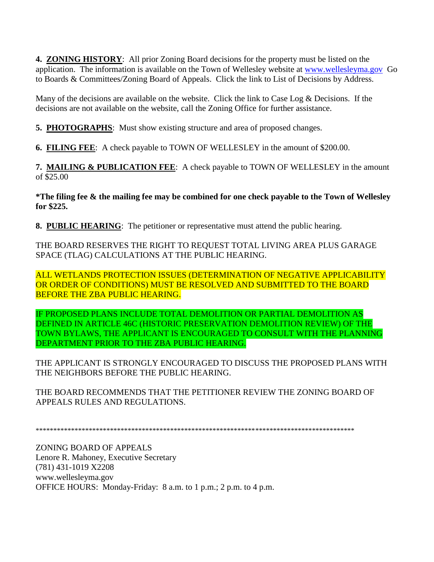**4. ZONING HISTORY**: All prior Zoning Board decisions for the property must be listed on the application. The information is available on the Town of Wellesley website at [www.wellesleyma.gov](http://www.wellesleyma.gov/) Go to Boards & Committees/Zoning Board of Appeals. Click the link to List of Decisions by Address.

Many of the decisions are available on the website. Click the link to Case Log & Decisions. If the decisions are not available on the website, call the Zoning Office for further assistance.

**5. PHOTOGRAPHS**: Must show existing structure and area of proposed changes.

**6. FILING FEE**: A check payable to TOWN OF WELLESLEY in the amount of \$200.00.

**7. MAILING & PUBLICATION FEE**: A check payable to TOWN OF WELLESLEY in the amount of \$25.00

**\*The filing fee & the mailing fee may be combined for one check payable to the Town of Wellesley for \$225.**

**8. PUBLIC HEARING**: The petitioner or representative must attend the public hearing.

THE BOARD RESERVES THE RIGHT TO REQUEST TOTAL LIVING AREA PLUS GARAGE SPACE (TLAG) CALCULATIONS AT THE PUBLIC HEARING.

ALL WETLANDS PROTECTION ISSUES (DETERMINATION OF NEGATIVE APPLICABILITY OR ORDER OF CONDITIONS) MUST BE RESOLVED AND SUBMITTED TO THE BOARD BEFORE THE ZBA PUBLIC HEARING.

IF PROPOSED PLANS INCLUDE TOTAL DEMOLITION OR PARTIAL DEMOLITION AS DEFINED IN ARTICLE 46C (HISTORIC PRESERVATION DEMOLITION REVIEW) OF THE TOWN BYLAWS, THE APPLICANT IS ENCOURAGED TO CONSULT WITH THE PLANNING DEPARTMENT PRIOR TO THE ZBA PUBLIC HEARING.

THE APPLICANT IS STRONGLY ENCOURAGED TO DISCUSS THE PROPOSED PLANS WITH THE NEIGHBORS BEFORE THE PUBLIC HEARING.

THE BOARD RECOMMENDS THAT THE PETITIONER REVIEW THE ZONING BOARD OF APPEALS RULES AND REGULATIONS.

\*\*\*\*\*\*\*\*\*\*\*\*\*\*\*\*\*\*\*\*\*\*\*\*\*\*\*\*\*\*\*\*\*\*\*\*\*\*\*\*\*\*\*\*\*\*\*\*\*\*\*\*\*\*\*\*\*\*\*\*\*\*\*\*\*\*\*\*\*\*\*\*\*\*\*\*\*\*\*\*\*\*\*\*\*\*\*\*\*\*

ZONING BOARD OF APPEALS Lenore R. Mahoney, Executive Secretary (781) 431-1019 X2208 www.wellesleyma.gov OFFICE HOURS: Monday-Friday: 8 a.m. to 1 p.m.; 2 p.m. to 4 p.m.